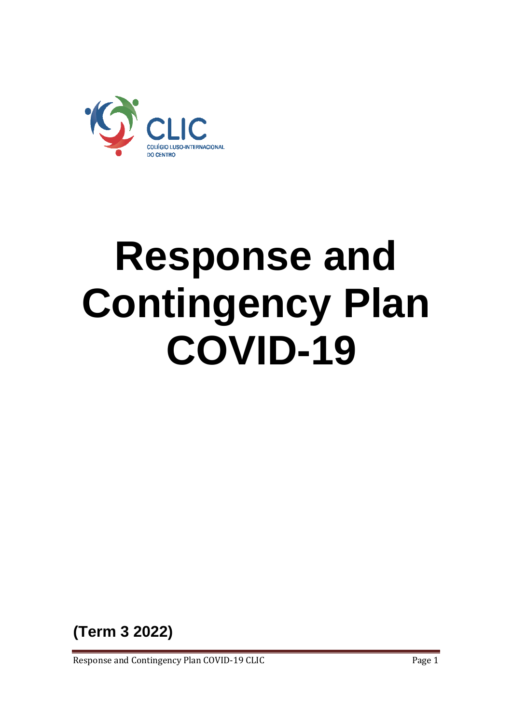

# **Response and Contingency Plan COVID-19**

**(Term 3 2022)**

Response and Contingency Plan COVID-19 CLIC **Page 1** Page 1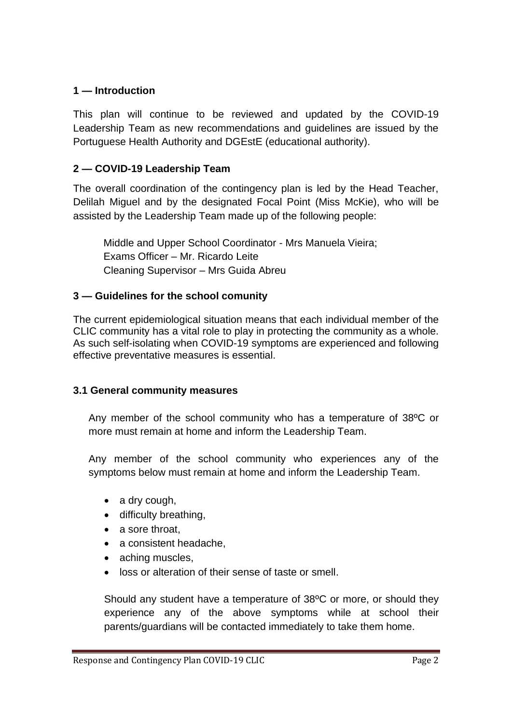# **1 — Introduction**

This plan will continue to be reviewed and updated by the COVID-19 Leadership Team as new recommendations and guidelines are issued by the Portuguese Health Authority and DGEstE (educational authority).

# **2 — COVID-19 Leadership Team**

The overall coordination of the contingency plan is led by the Head Teacher, Delilah Miguel and by the designated Focal Point (Miss McKie), who will be assisted by the Leadership Team made up of the following people:

Middle and Upper School Coordinator - Mrs Manuela Vieira; Exams Officer – Mr. Ricardo Leite Cleaning Supervisor – Mrs Guida Abreu

## **3 — Guidelines for the school comunity**

The current epidemiological situation means that each individual member of the CLIC community has a vital role to play in protecting the community as a whole. As such self-isolating when COVID-19 symptoms are experienced and following effective preventative measures is essential.

#### **3.1 General community measures**

Any member of the school community who has a temperature of 38ºC or more must remain at home and inform the Leadership Team.

Any member of the school community who experiences any of the symptoms below must remain at home and inform the Leadership Team.

- a dry cough,
- difficulty breathing,
- a sore throat.
- a consistent headache,
- aching muscles,
- loss or alteration of their sense of taste or smell.

Should any student have a temperature of 38ºC or more, or should they experience any of the above symptoms while at school their parents/guardians will be contacted immediately to take them home.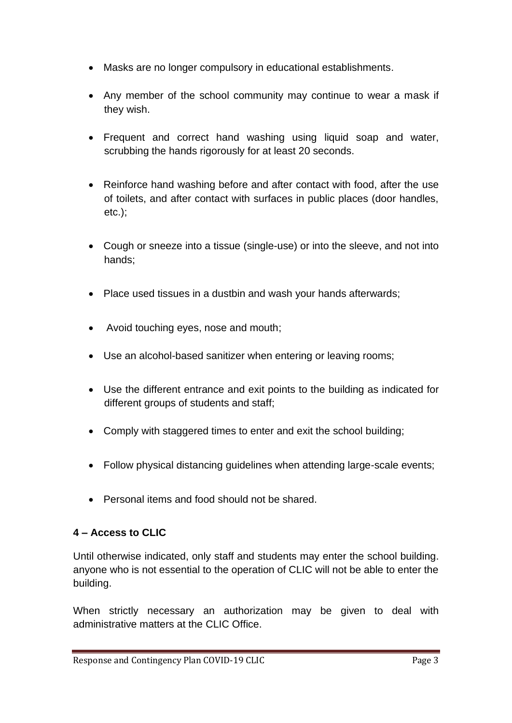- Masks are no longer compulsory in educational establishments.
- Any member of the school community may continue to wear a mask if they wish.
- Frequent and correct hand washing using liquid soap and water, scrubbing the hands rigorously for at least 20 seconds.
- Reinforce hand washing before and after contact with food, after the use of toilets, and after contact with surfaces in public places (door handles, etc.);
- Cough or sneeze into a tissue (single-use) or into the sleeve, and not into hands;
- Place used tissues in a dustbin and wash your hands afterwards;
- Avoid touching eyes, nose and mouth;
- Use an alcohol-based sanitizer when entering or leaving rooms;
- Use the different entrance and exit points to the building as indicated for different groups of students and staff;
- Comply with staggered times to enter and exit the school building;
- Follow physical distancing guidelines when attending large-scale events;
- Personal items and food should not be shared.

# **4 – Access to CLIC**

Until otherwise indicated, only staff and students may enter the school building. anyone who is not essential to the operation of CLIC will not be able to enter the building.

When strictly necessary an authorization may be given to deal with administrative matters at the CLIC Office.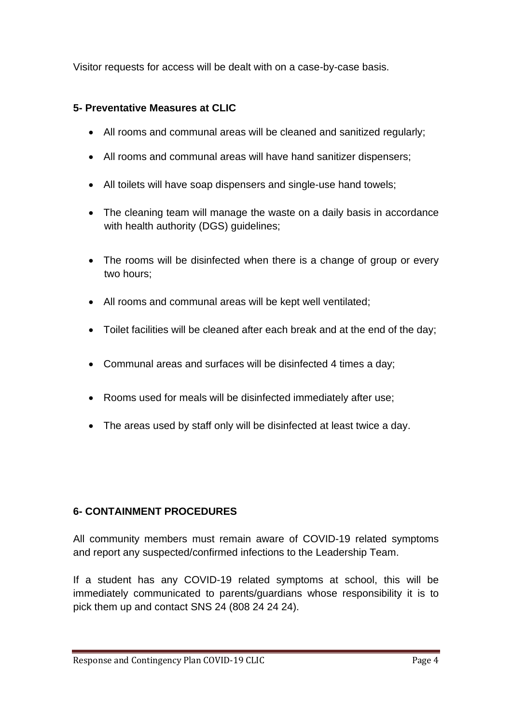Visitor requests for access will be dealt with on a case-by-case basis.

# **5- Preventative Measures at CLIC**

- All rooms and communal areas will be cleaned and sanitized regularly;
- All rooms and communal areas will have hand sanitizer dispensers:
- All toilets will have soap dispensers and single-use hand towels;
- The cleaning team will manage the waste on a daily basis in accordance with health authority (DGS) guidelines;
- The rooms will be disinfected when there is a change of group or every two hours;
- All rooms and communal areas will be kept well ventilated;
- Toilet facilities will be cleaned after each break and at the end of the day;
- Communal areas and surfaces will be disinfected 4 times a day;
- Rooms used for meals will be disinfected immediately after use;
- The areas used by staff only will be disinfected at least twice a day.

# **6- CONTAINMENT PROCEDURES**

All community members must remain aware of COVID-19 related symptoms and report any suspected/confirmed infections to the Leadership Team.

If a student has any COVID-19 related symptoms at school, this will be immediately communicated to parents/guardians whose responsibility it is to pick them up and contact SNS 24 (808 24 24 24).